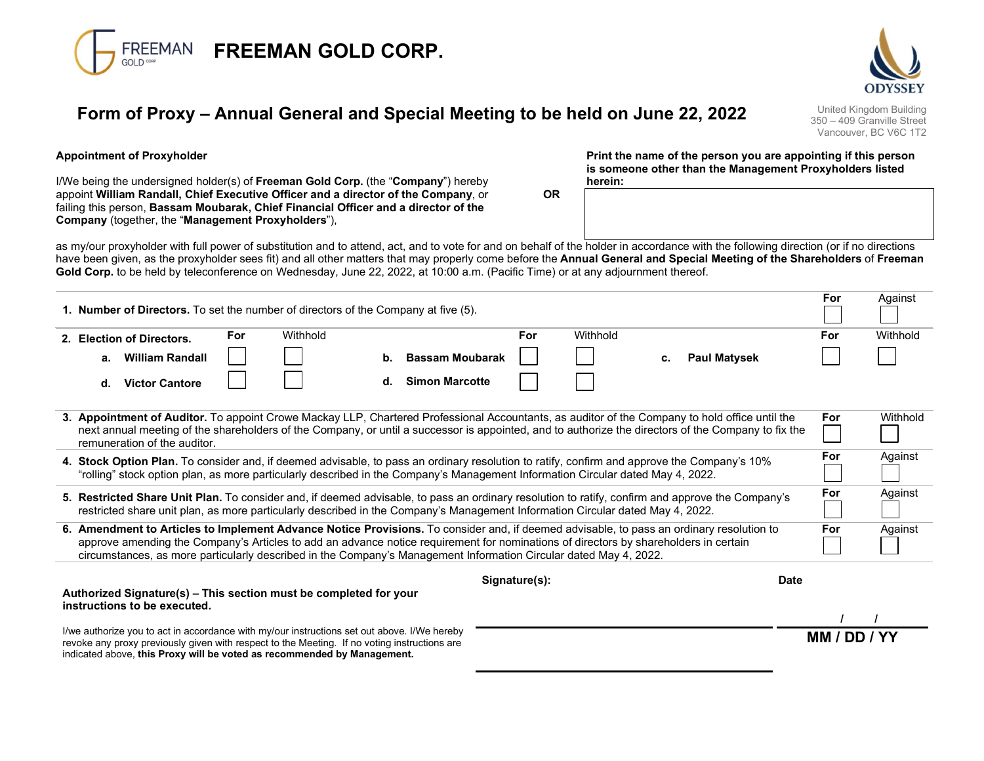

# Form of Proxy – Annual General and Special Meeting to be held on June 22, 2022 United Kingdom Building

350 – 409 Granville Street Vancouver, BC V6C 1T2

For Against

### Appointment of Proxyholder

I/We being the undersigned holder(s) of **Freeman Gold Corp.** (the "**Company**") hereby appoint William Randall, Chief Executive Officer and a director of the Company, or failing this person, Bassam Moubarak, Chief Financial Officer and a director of the Company (together, the "Management Proxyholders"),

Print the name of the person you are appointing if this person is someone other than the Management Proxyholders listed herein:

as my/our proxyholder with full power of substitution and to attend, act, and to vote for and on behalf of the holder in accordance with the following direction (or if no directions have been given, as the proxyholder sees fit) and all other matters that may properly come before the Annual General and Special Meeting of the Shareholders of Freeman Gold Corp. to be held by teleconference on Wednesday, June 22, 2022, at 10:00 a.m. (Pacific Time) or at any adjournment thereof.

OR

| 1. Number of Directors. To set the number of directors of the Company at five (5).                                                                                                                                                                                                                                                    |            |          |    |                        |     |          |    |                     |          |          |
|---------------------------------------------------------------------------------------------------------------------------------------------------------------------------------------------------------------------------------------------------------------------------------------------------------------------------------------|------------|----------|----|------------------------|-----|----------|----|---------------------|----------|----------|
| 2. Election of Directors.                                                                                                                                                                                                                                                                                                             | <b>For</b> | Withhold |    |                        | For | Withhold |    |                     | For      | Withhold |
| <b>William Randall</b><br>a.                                                                                                                                                                                                                                                                                                          |            |          | b. | <b>Bassam Moubarak</b> |     |          | с. | <b>Paul Matysek</b> |          |          |
| <b>Victor Cantore</b><br>d.                                                                                                                                                                                                                                                                                                           |            |          | d. | <b>Simon Marcotte</b>  |     |          |    |                     |          |          |
| 3. Appointment of Auditor. To appoint Crowe Mackay LLP, Chartered Professional Accountants, as auditor of the Company to hold office until the<br>next annual meeting of the shareholders of the Company, or until a successor is appointed, and to authorize the directors of the Company to fix the<br>remuneration of the auditor. |            |          |    |                        |     |          |    | For                 | Withhold |          |
| 4. Stock Option Plan. To consider and, if deemed advisable, to pass an ordinary resolution to ratify, confirm and approve the Company's 10%<br>"rolling" stock option plan, as more particularly described in the Company's Management Information Circular dated May 4, 2022.                                                        |            |          |    |                        |     |          |    |                     | For      | Against  |
| 5. Restricted Share Unit Plan. To consider and, if deemed advisable, to pass an ordinary resolution to ratify, confirm and approve the Company's<br>restricted share unit plan, as more particularly described in the Company's Management Information Circular dated May 4, 2022.                                                    |            |          |    |                        |     |          |    |                     | For      | Against  |
| 6. Amendment to Articles to Implement Advance Notice Provisions. To consider and, if deemed advisable, to pass an ordinary resolution to                                                                                                                                                                                              |            |          |    |                        |     |          |    |                     | For      | Against  |

approve amending the Company's Articles to add an advance notice requirement for nominations of directors by shareholders in certain circumstances, as more particularly described in the Company's Management Information Circular dated May 4, 2022.

Signature(s): Date

#### Authorized Signature(s) – This section must be completed for your instructions to be executed.

I/we authorize you to act in accordance with my/our instructions set out above. I/We hereby revoke any proxy previously given with respect to the Meeting. If no voting instructions are indicated above, this Proxy will be voted as recommended by Management.

MM / DD / YY

*/ / /*